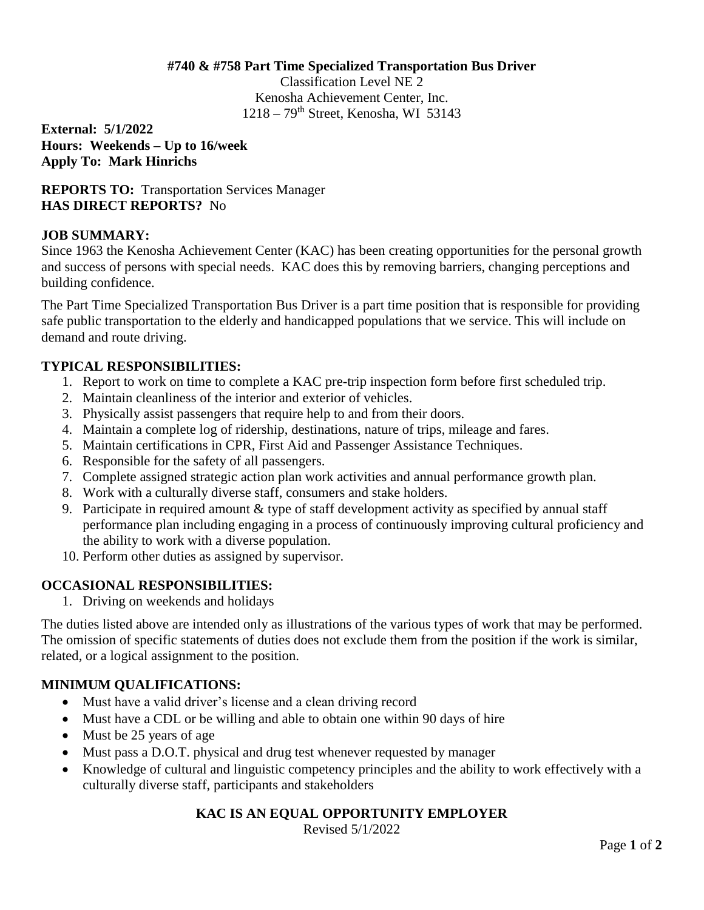#### **#740 & #758 Part Time Specialized Transportation Bus Driver**

Classification Level NE 2 Kenosha Achievement Center, Inc.  $1218 - 79$ <sup>th</sup> Street, Kenosha, WI 53143

**External: 5/1/2022 Hours: Weekends – Up to 16/week Apply To: Mark Hinrichs**

**REPORTS TO:** Transportation Services Manager **HAS DIRECT REPORTS?** No

### **JOB SUMMARY:**

Since 1963 the Kenosha Achievement Center (KAC) has been creating opportunities for the personal growth and success of persons with special needs. KAC does this by removing barriers, changing perceptions and building confidence.

The Part Time Specialized Transportation Bus Driver is a part time position that is responsible for providing safe public transportation to the elderly and handicapped populations that we service. This will include on demand and route driving.

### **TYPICAL RESPONSIBILITIES:**

- 1. Report to work on time to complete a KAC pre-trip inspection form before first scheduled trip.
- 2. Maintain cleanliness of the interior and exterior of vehicles.
- 3. Physically assist passengers that require help to and from their doors.
- 4. Maintain a complete log of ridership, destinations, nature of trips, mileage and fares.
- 5. Maintain certifications in CPR, First Aid and Passenger Assistance Techniques.
- 6. Responsible for the safety of all passengers.
- 7. Complete assigned strategic action plan work activities and annual performance growth plan.
- 8. Work with a culturally diverse staff, consumers and stake holders.
- 9. Participate in required amount & type of staff development activity as specified by annual staff performance plan including engaging in a process of continuously improving cultural proficiency and the ability to work with a diverse population.
- 10. Perform other duties as assigned by supervisor.

# **OCCASIONAL RESPONSIBILITIES:**

1. Driving on weekends and holidays

The duties listed above are intended only as illustrations of the various types of work that may be performed. The omission of specific statements of duties does not exclude them from the position if the work is similar, related, or a logical assignment to the position.

# **MINIMUM QUALIFICATIONS:**

- Must have a valid driver's license and a clean driving record
- Must have a CDL or be willing and able to obtain one within 90 days of hire
- Must be 25 years of age
- Must pass a D.O.T. physical and drug test whenever requested by manager
- Knowledge of cultural and linguistic competency principles and the ability to work effectively with a culturally diverse staff, participants and stakeholders

# **KAC IS AN EQUAL OPPORTUNITY EMPLOYER**

Revised 5/1/2022